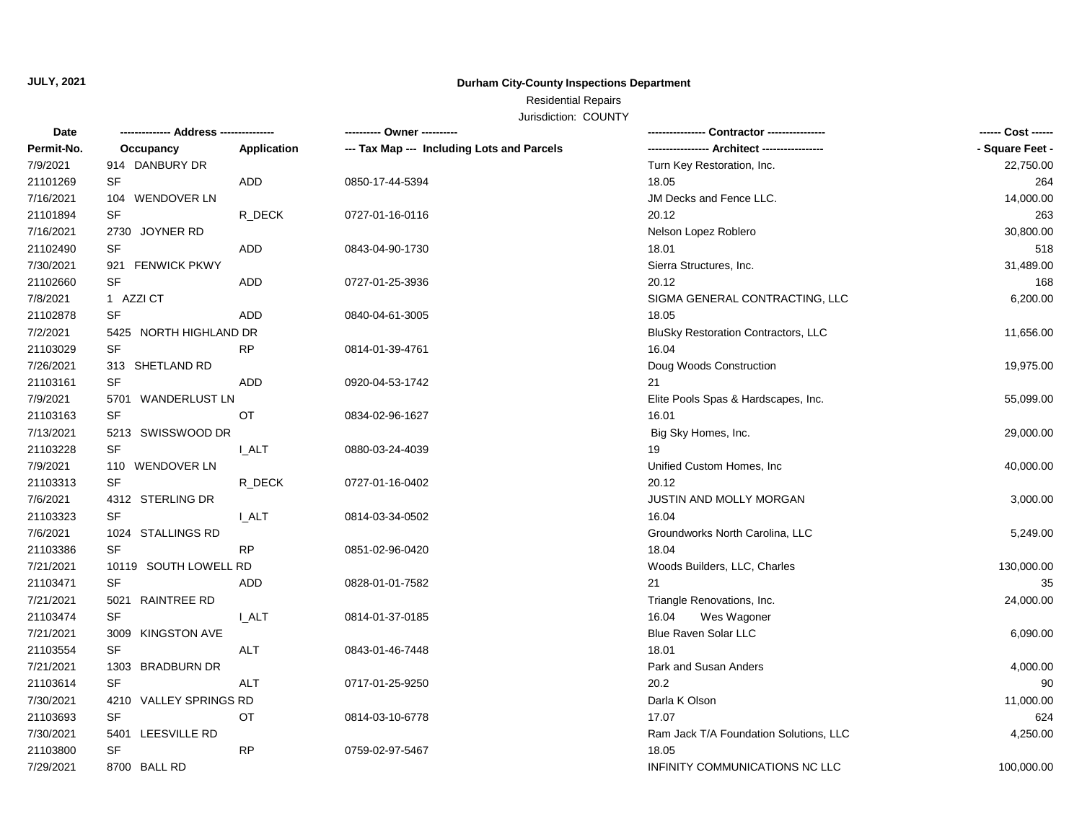## **JULY, 2021**

## **Durham City-County Inspections Department**

## Residential Repairs

Jurisdiction: COUNTY

| Date       |                            |              | ---------- Owner ----------                |                                        | ------ Cost ------ |
|------------|----------------------------|--------------|--------------------------------------------|----------------------------------------|--------------------|
| Permit-No. | Occupancy                  | Application  | --- Tax Map --- Including Lots and Parcels | ---- Architect ----                    | - Square Feet -    |
| 7/9/2021   | 914 DANBURY DR             |              |                                            | Turn Key Restoration, Inc.             | 22,750.00          |
| 21101269   | SF                         | ADD          | 0850-17-44-5394                            | 18.05                                  | 264                |
| 7/16/2021  | <b>WENDOVER LN</b><br>104  |              |                                            | JM Decks and Fence LLC.                | 14,000.00          |
| 21101894   | <b>SF</b>                  | R_DECK       | 0727-01-16-0116                            | 20.12                                  | 263                |
| 7/16/2021  | 2730 JOYNER RD             |              |                                            | Nelson Lopez Roblero                   | 30,800.00          |
| 21102490   | <b>SF</b>                  | ADD          | 0843-04-90-1730                            | 18.01                                  | 518                |
| 7/30/2021  | 921<br><b>FENWICK PKWY</b> |              |                                            | Sierra Structures, Inc.                | 31,489.00          |
| 21102660   | <b>SF</b>                  | ADD          | 0727-01-25-3936                            | 20.12                                  | 168                |
| 7/8/2021   | 1 AZZI CT                  |              |                                            | SIGMA GENERAL CONTRACTING, LLC         | 6,200.00           |
| 21102878   | <b>SF</b>                  | <b>ADD</b>   | 0840-04-61-3005                            | 18.05                                  |                    |
| 7/2/2021   | 5425 NORTH HIGHLAND DR     |              |                                            | BluSky Restoration Contractors, LLC    | 11,656.00          |
| 21103029   | <b>SF</b>                  | <b>RP</b>    | 0814-01-39-4761                            | 16.04                                  |                    |
| 7/26/2021  | 313 SHETLAND RD            |              |                                            | Doug Woods Construction                | 19,975.00          |
| 21103161   | <b>SF</b>                  | ADD          | 0920-04-53-1742                            | 21                                     |                    |
| 7/9/2021   | 5701 WANDERLUST LN         |              |                                            | Elite Pools Spas & Hardscapes, Inc.    | 55,099.00          |
| 21103163   | <b>SF</b>                  | OT           | 0834-02-96-1627                            | 16.01                                  |                    |
| 7/13/2021  | 5213 SWISSWOOD DR          |              |                                            | Big Sky Homes, Inc.                    | 29,000.00          |
| 21103228   | SF                         | <b>LALT</b>  | 0880-03-24-4039                            | 19                                     |                    |
| 7/9/2021   | 110 WENDOVER LN            |              |                                            | Unified Custom Homes, Inc              | 40,000.00          |
| 21103313   | <b>SF</b>                  | R_DECK       | 0727-01-16-0402                            | 20.12                                  |                    |
| 7/6/2021   | 4312 STERLING DR           |              |                                            | JUSTIN AND MOLLY MORGAN                | 3,000.00           |
| 21103323   | SF                         | <b>I_ALT</b> | 0814-03-34-0502                            | 16.04                                  |                    |
| 7/6/2021   | 1024 STALLINGS RD          |              |                                            | Groundworks North Carolina, LLC        | 5,249.00           |
| 21103386   | <b>SF</b>                  | <b>RP</b>    | 0851-02-96-0420                            | 18.04                                  |                    |
| 7/21/2021  | 10119 SOUTH LOWELL RD      |              |                                            | Woods Builders, LLC, Charles           | 130,000.00         |
| 21103471   | <b>SF</b>                  | <b>ADD</b>   | 0828-01-01-7582                            | 21                                     | 35                 |
| 7/21/2021  | 5021 RAINTREE RD           |              |                                            | Triangle Renovations, Inc.             | 24,000.00          |
| 21103474   | <b>SF</b>                  | <b>LALT</b>  | 0814-01-37-0185                            | 16.04<br>Wes Wagoner                   |                    |
| 7/21/2021  | 3009 KINGSTON AVE          |              |                                            | Blue Raven Solar LLC                   | 6,090.00           |
| 21103554   | <b>SF</b>                  | ALT          | 0843-01-46-7448                            | 18.01                                  |                    |
| 7/21/2021  | 1303 BRADBURN DR           |              |                                            | Park and Susan Anders                  | 4,000.00           |
| 21103614   | <b>SF</b>                  | <b>ALT</b>   | 0717-01-25-9250                            | 20.2                                   | 90                 |
| 7/30/2021  | 4210 VALLEY SPRINGS RD     |              |                                            | Darla K Olson                          | 11,000.00          |
| 21103693   | <b>SF</b>                  | OT           | 0814-03-10-6778                            | 17.07                                  | 624                |
| 7/30/2021  | 5401 LEESVILLE RD          |              |                                            | Ram Jack T/A Foundation Solutions, LLC | 4,250.00           |
| 21103800   | <b>SF</b>                  | <b>RP</b>    | 0759-02-97-5467                            | 18.05                                  |                    |
| 7/29/2021  | 8700 BALL RD               |              |                                            | INFINITY COMMUNICATIONS NC LLC         | 100,000.00         |